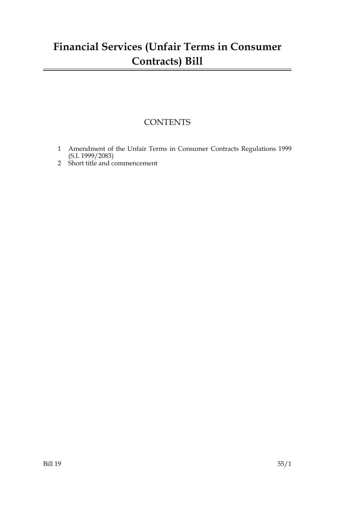## **Financial Services (Unfair Terms in Consumer Contracts) Bill**

### **CONTENTS**

- 1 Amendment of the Unfair Terms in Consumer Contracts Regulations 1999 (S.I. 1999/2083)
- 2 Short title and commencement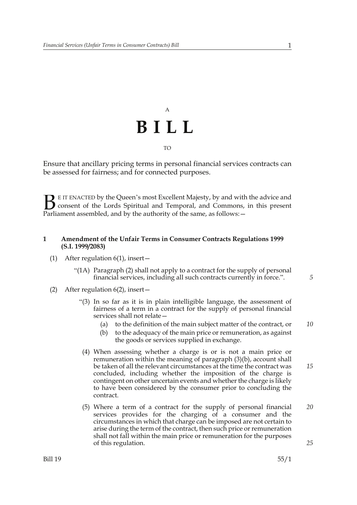# A **BILL** TO

Ensure that ancillary pricing terms in personal financial services contracts can be assessed for fairness; and for connected purposes.

E IT ENACTED by the Queen's most Excellent Majesty, by and with the advice and consent of the Lords Spiritual and Temporal, and Commons, in this present **B** E IT ENACTED by the Queen's most Excellent Majesty, by and with consent of the Lords Spiritual and Temporal, and Commons, Parliament assembled, and by the authority of the same, as follows:  $-$ 

#### **1 Amendment of the Unfair Terms in Consumer Contracts Regulations 1999 (S.I. 1999/2083)**

- (1) After regulation 6(1), insert—
	- "(1A) Paragraph (2) shall not apply to a contract for the supply of personal financial services, including all such contracts currently in force.".
- (2) After regulation  $6(2)$ , insert  $-$ 
	- "(3) In so far as it is in plain intelligible language, the assessment of fairness of a term in a contract for the supply of personal financial services shall not relate—
		- (a) to the definition of the main subject matter of the contract, or *10*
		- (b) to the adequacy of the main price or remuneration, as against the goods or services supplied in exchange.
	- (4) When assessing whether a charge is or is not a main price or remuneration within the meaning of paragraph (3)(b), account shall be taken of all the relevant circumstances at the time the contract was concluded, including whether the imposition of the charge is contingent on other uncertain events and whether the charge is likely to have been considered by the consumer prior to concluding the contract.
	- (5) Where a term of a contract for the supply of personal financial services provides for the charging of a consumer and the circumstances in which that charge can be imposed are not certain to arise during the term of the contract, then such price or remuneration shall not fall within the main price or remuneration for the purposes of this regulation. *20 25*

*5*

*15*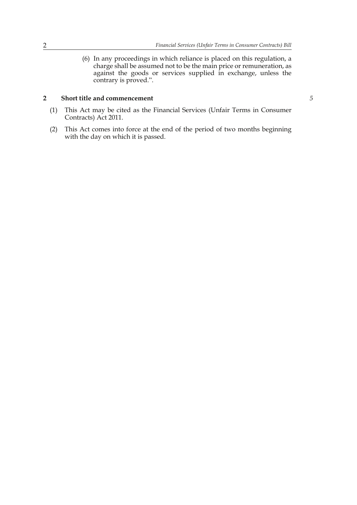(6) In any proceedings in which reliance is placed on this regulation, a charge shall be assumed not to be the main price or remuneration, as against the goods or services supplied in exchange, unless the contrary is proved.".

#### **2 Short title and commencement**

- (1) This Act may be cited as the Financial Services (Unfair Terms in Consumer Contracts) Act 2011.
- (2) This Act comes into force at the end of the period of two months beginning with the day on which it is passed.